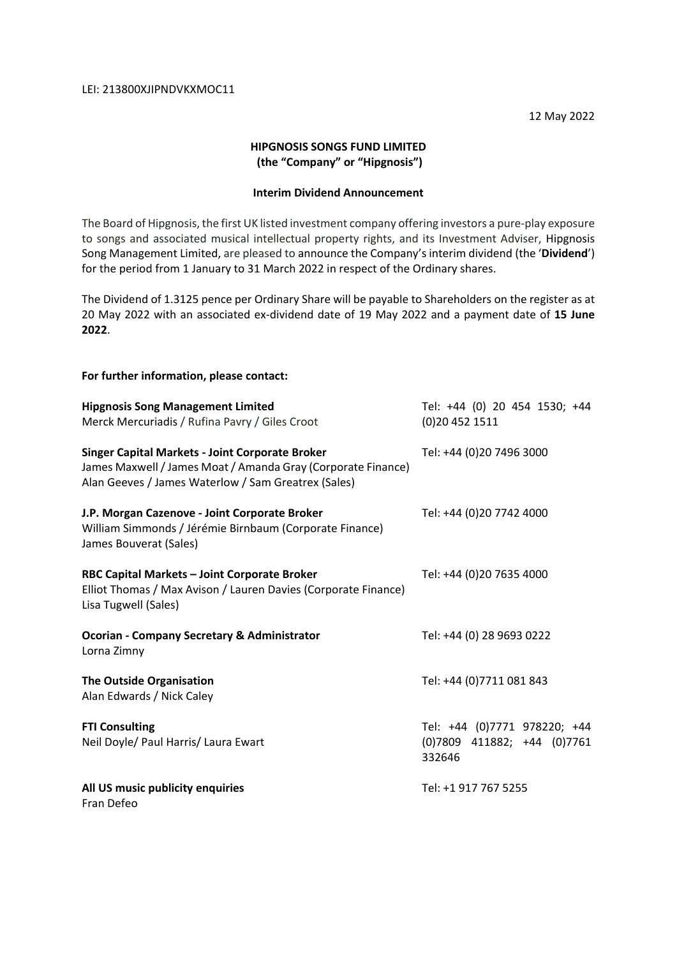12 May 2022

## **HIPGNOSIS SONGS FUND LIMITED (the "Company" or "Hipgnosis")**

# **Interim Dividend Announcement**

The Board of Hipgnosis, the first UK listed investment company offering investors a pure-play exposure to songs and associated musical intellectual property rights, and its Investment Adviser, Hipgnosis Song Management Limited, are pleased to announce the Company's interim dividend (the '**Dividend**') for the period from 1 January to 31 March 2022 in respect of the Ordinary shares.

The Dividend of 1.3125 pence per Ordinary Share will be payable to Shareholders on the register as at 20 May 2022 with an associated ex-dividend date of 19 May 2022 and a payment date of **15 June 2022**.

| For further information, please contact:                                                                                                                                      |                                                                       |
|-------------------------------------------------------------------------------------------------------------------------------------------------------------------------------|-----------------------------------------------------------------------|
| <b>Hipgnosis Song Management Limited</b><br>Merck Mercuriadis / Rufina Pavry / Giles Croot                                                                                    | Tel: +44 (0) 20 454 1530; +44<br>(0)20 452 1511                       |
| <b>Singer Capital Markets - Joint Corporate Broker</b><br>James Maxwell / James Moat / Amanda Gray (Corporate Finance)<br>Alan Geeves / James Waterlow / Sam Greatrex (Sales) | Tel: +44 (0)20 7496 3000                                              |
| J.P. Morgan Cazenove - Joint Corporate Broker<br>William Simmonds / Jérémie Birnbaum (Corporate Finance)<br>James Bouverat (Sales)                                            | Tel: +44 (0)20 7742 4000                                              |
| RBC Capital Markets - Joint Corporate Broker<br>Elliot Thomas / Max Avison / Lauren Davies (Corporate Finance)<br>Lisa Tugwell (Sales)                                        | Tel: +44 (0)20 7635 4000                                              |
| <b>Ocorian - Company Secretary &amp; Administrator</b><br>Lorna Zimny                                                                                                         | Tel: +44 (0) 28 9693 0222                                             |
| <b>The Outside Organisation</b><br>Alan Edwards / Nick Caley                                                                                                                  | Tel: +44 (0)7711 081 843                                              |
| <b>FTI Consulting</b><br>Neil Doyle/ Paul Harris/ Laura Ewart                                                                                                                 | Tel: +44 (0)7771 978220; +44<br>(0)7809 411882; +44 (0)7761<br>332646 |
| All US music publicity enquiries<br>Fran Defeo                                                                                                                                | Tel: +1 917 767 5255                                                  |